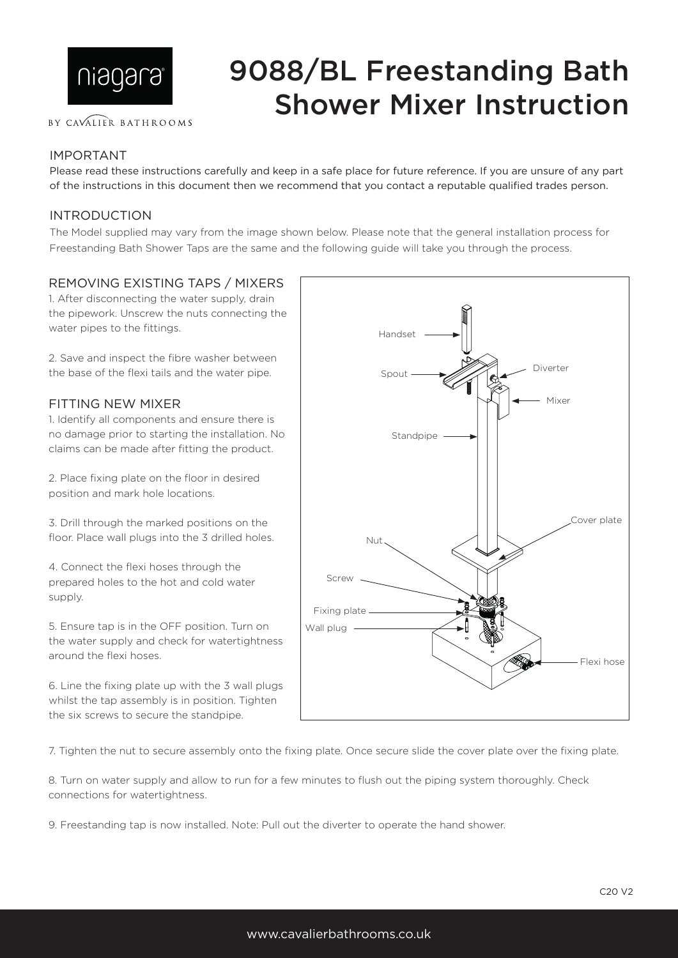

#### BY CAVALIER BATHROOMS

# 9088/BL Freestanding Bath Shower Mixer Instruction

## IMPORTANT

Please read these instructions carefully and keep in a safe place for future reference. If you are unsure of any part of the instructions in this document then we recommend that you contact a reputable qualified trades person.

## INTRODUCTION

The Model supplied may vary from the image shown below. Please note that the general installation process for Freestanding Bath Shower Taps are the same and the following guide will take you through the process.

### REMOVING EXISTING TAPS / MIXERS

1. After disconnecting the water supply, drain the pipework. Unscrew the nuts connecting the water pipes to the fittings.

2. Save and inspect the fibre washer between the base of the flexi tails and the water pipe.

#### FITTING NEW MIXER

1. Identify all components and ensure there is no damage prior to starting the installation. No claims can be made after fitting the product.

2. Place fixing plate on the floor in desired position and mark hole locations.

3. Drill through the marked positions on the floor. Place wall plugs into the 3 drilled holes.

4. Connect the flexi hoses through the prepared holes to the hot and cold water supply.

5. Ensure tap is in the OFF position. Turn on the water supply and check for watertightness around the flexi hoses.

6. Line the fixing plate up with the 3 wall plugs whilst the tap assembly is in position. Tighten the six screws to secure the standpipe.



7. Tighten the nut to secure assembly onto the fixing plate. Once secure slide the cover plate over the fixing plate.

8. Turn on water supply and allow to run for a few minutes to flush out the piping system thoroughly. Check connections for watertightness.

9. Freestanding tap is now installed. Note: Pull out the diverter to operate the hand shower.